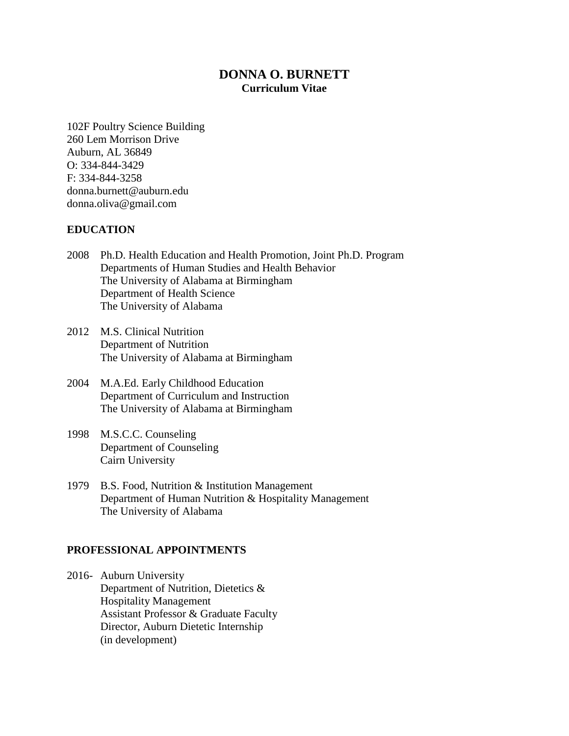# **DONNA O. BURNETT Curriculum Vitae**

102F Poultry Science Building 260 Lem Morrison Drive Auburn, AL 36849 O: 334-844-3429 F: 334-844-3258 donna.burnett@auburn.edu donna.oliva@gmail.com

### **EDUCATION**

- 2008 Ph.D. Health Education and Health Promotion, Joint Ph.D. Program Departments of Human Studies and Health Behavior The University of Alabama at Birmingham Department of Health Science The University of Alabama
- 2012 M.S. Clinical Nutrition Department of Nutrition The University of Alabama at Birmingham
- 2004 M.A.Ed. Early Childhood Education Department of Curriculum and Instruction The University of Alabama at Birmingham
- 1998 M.S.C.C. Counseling Department of Counseling Cairn University
- 1979 B.S. Food, Nutrition & Institution Management Department of Human Nutrition & Hospitality Management The University of Alabama

#### **PROFESSIONAL APPOINTMENTS**

2016- Auburn University Department of Nutrition, Dietetics & Hospitality Management Assistant Professor & Graduate Faculty Director, Auburn Dietetic Internship (in development)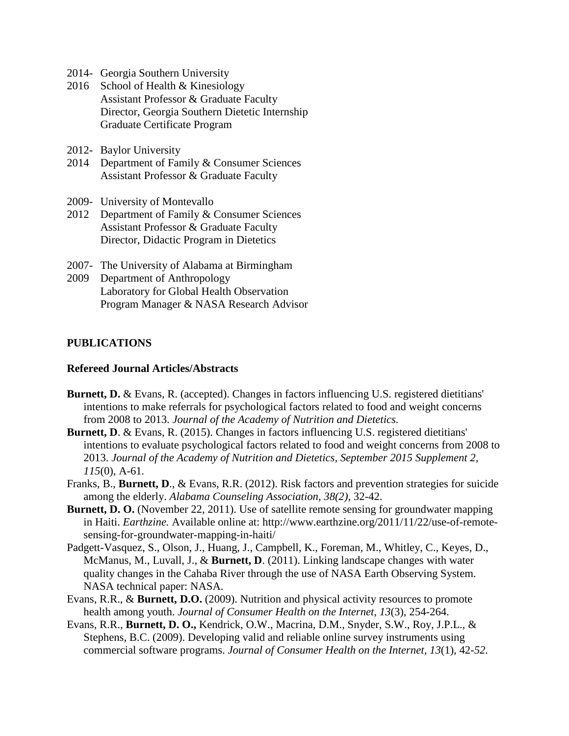- 2014- Georgia Southern University
- 2016 School of Health & Kinesiology Assistant Professor & Graduate Faculty Director, Georgia Southern Dietetic Internship Graduate Certificate Program
- 2012- Baylor University
- 2014 Department of Family & Consumer Sciences Assistant Professor & Graduate Faculty
- 2009- University of Montevallo
- 2012 Department of Family & Consumer Sciences Assistant Professor & Graduate Faculty Director, Didactic Program in Dietetics
- 2007- The University of Alabama at Birmingham
- 2009 Department of Anthropology Laboratory for Global Health Observation Program Manager & NASA Research Advisor

#### **PUBLICATIONS**

#### **Refereed Journal Articles/Abstracts**

- **Burnett, D. & Evans, R.** (accepted). Changes in factors influencing U.S. registered dietitians' intentions to make referrals for psychological factors related to food and weight concerns from 2008 to 2013. *Journal of the Academy of Nutrition and Dietetics.*
- **Burnett, D**. & Evans, R. (2015). Changes in factors influencing U.S. registered dietitians' intentions to evaluate psychological factors related to food and weight concerns from 2008 to 2013. *Journal of the Academy of Nutrition and Dietetics, September 2015 Supplement 2, 115*(0), A-61*.*
- Franks, B., **Burnett, D**., & Evans, R.R. (2012). Risk factors and prevention strategies for suicide among the elderly. *Alabama Counseling Association, 38(2),* 32-42.
- **Burnett, D. O.** (November 22, 2011). Use of satellite remote sensing for groundwater mapping in Haiti. *Earthzine.* Available online at: http://www.earthzine.org/2011/11/22/use-of-remotesensing-for-groundwater-mapping-in-haiti/
- Padgett-Vasquez, S., Olson, J., Huang, J., Campbell, K., Foreman, M., Whitley, C., Keyes, D., McManus, M., Luvall, J., & **Burnett, D**. (2011). Linking landscape changes with water quality changes in the Cahaba River through the use of NASA Earth Observing System. NASA technical paper: NASA.
- Evans, R.R., & **Burnett, D.O.** (2009). Nutrition and physical activity resources to promote health among youth. *Journal of Consumer Health on the Internet, 13*(3), 254-264.
- Evans, R.R., **Burnett, D. O.,** Kendrick, O.W., Macrina, D.M., Snyder, S.W., Roy, J.P.L., & Stephens, B.C. (2009). Developing valid and reliable online survey instruments using commercial software programs. *Journal of Consumer Health on the Internet, 13*(1)*,* 42*-52.*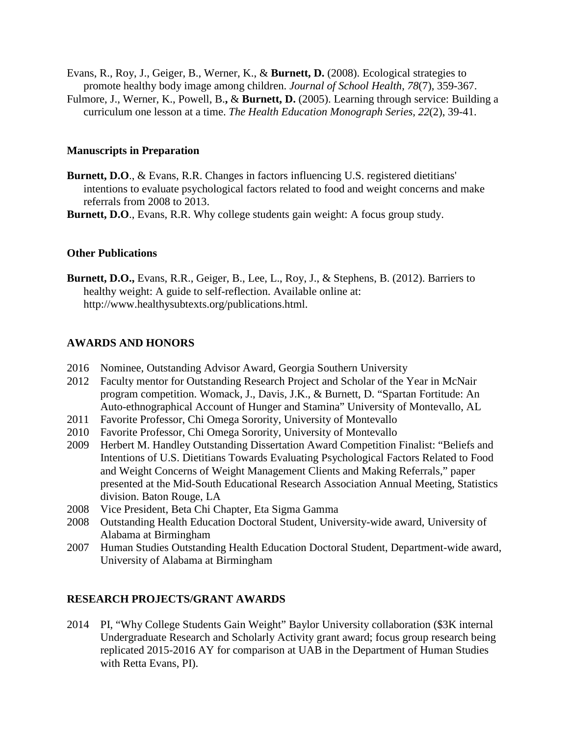- Evans, R., Roy, J., Geiger, B., Werner, K., & **Burnett, D.** (2008). Ecological strategies to promote healthy body image among children. *Journal of School Health*, *78*(7), 359-367.
- Fulmore, J., Werner, K., Powell, B.**,** & **Burnett, D.** (2005). Learning through service: Building a curriculum one lesson at a time. *The Health Education Monograph Series, 22*(2), 39-41.

#### **Manuscripts in Preparation**

- **Burnett, D.O**., & Evans, R.R. Changes in factors influencing U.S. registered dietitians' intentions to evaluate psychological factors related to food and weight concerns and make referrals from 2008 to 2013.
- **Burnett, D.O**., Evans, R.R. Why college students gain weight: A focus group study.

#### **Other Publications**

**Burnett, D.O.,** Evans, R.R., Geiger, B., Lee, L., Roy, J., & Stephens, B. (2012). Barriers to healthy weight: A guide to self-reflection. Available online at: http://www.healthysubtexts.org/publications.html.

#### **AWARDS AND HONORS**

- 2016 Nominee, Outstanding Advisor Award, Georgia Southern University
- 2012 Faculty mentor for Outstanding Research Project and Scholar of the Year in McNair program competition. Womack, J., Davis, J.K., & Burnett, D. "Spartan Fortitude: An Auto-ethnographical Account of Hunger and Stamina" University of Montevallo, AL
- 2011 Favorite Professor, Chi Omega Sorority, University of Montevallo
- 2010 Favorite Professor, Chi Omega Sorority, University of Montevallo
- 2009 Herbert M. Handley Outstanding Dissertation Award Competition Finalist: "Beliefs and Intentions of U.S. Dietitians Towards Evaluating Psychological Factors Related to Food and Weight Concerns of Weight Management Clients and Making Referrals," paper presented at the Mid-South Educational Research Association Annual Meeting, Statistics division. Baton Rouge, LA
- 2008 Vice President, Beta Chi Chapter, Eta Sigma Gamma
- 2008 Outstanding Health Education Doctoral Student, University-wide award, University of Alabama at Birmingham
- 2007 Human Studies Outstanding Health Education Doctoral Student, Department-wide award, University of Alabama at Birmingham

#### **RESEARCH PROJECTS/GRANT AWARDS**

2014 PI, "Why College Students Gain Weight" Baylor University collaboration (\$3K internal Undergraduate Research and Scholarly Activity grant award; focus group research being replicated 2015-2016 AY for comparison at UAB in the Department of Human Studies with Retta Evans, PI).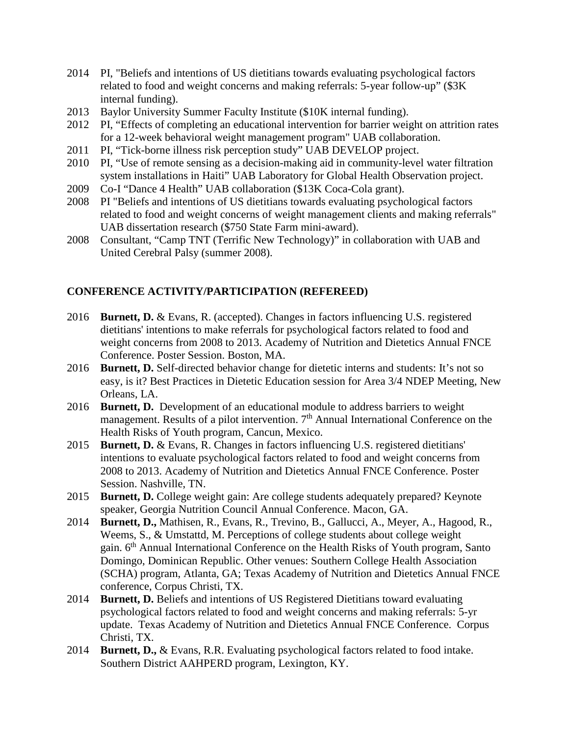- 2014 PI, "Beliefs and intentions of US dietitians towards evaluating psychological factors related to food and weight concerns and making referrals: 5-year follow-up" (\$3K internal funding).
- 2013 Baylor University Summer Faculty Institute (\$10K internal funding).
- 2012 PI, "Effects of completing an educational intervention for barrier weight on attrition rates for a 12-week behavioral weight management program" UAB collaboration.
- 2011 PI, "Tick-borne illness risk perception study" UAB DEVELOP project.
- 2010 PI, "Use of remote sensing as a decision-making aid in community-level water filtration system installations in Haiti" UAB Laboratory for Global Health Observation project.
- 2009 Co-I "Dance 4 Health" UAB collaboration (\$13K Coca-Cola grant).
- 2008 PI "Beliefs and intentions of US dietitians towards evaluating psychological factors related to food and weight concerns of weight management clients and making referrals" UAB dissertation research (\$750 State Farm mini-award).
- 2008 Consultant, "Camp TNT (Terrific New Technology)" in collaboration with UAB and United Cerebral Palsy (summer 2008).

# **CONFERENCE ACTIVITY/PARTICIPATION (REFEREED)**

- 2016 **Burnett, D.** & Evans, R. (accepted). Changes in factors influencing U.S. registered dietitians' intentions to make referrals for psychological factors related to food and weight concerns from 2008 to 2013. Academy of Nutrition and Dietetics Annual FNCE Conference. Poster Session. Boston, MA.
- 2016 **Burnett, D.** Self-directed behavior change for dietetic interns and students: It's not so easy, is it? Best Practices in Dietetic Education session for Area 3/4 NDEP Meeting, New Orleans, LA.
- 2016 **Burnett, D.** Development of an educational module to address barriers to weight management. Results of a pilot intervention. 7<sup>th</sup> Annual International Conference on the Health Risks of Youth program, Cancun, Mexico.
- 2015 **Burnett, D.** & Evans, R. Changes in factors influencing U.S. registered dietitians' intentions to evaluate psychological factors related to food and weight concerns from 2008 to 2013. Academy of Nutrition and Dietetics Annual FNCE Conference. Poster Session. Nashville, TN.
- 2015 **Burnett, D.** College weight gain: Are college students adequately prepared? Keynote speaker, Georgia Nutrition Council Annual Conference. Macon, GA.
- 2014 **Burnett, D.,** Mathisen, R., Evans, R., Trevino, B., Gallucci, A., Meyer, A., Hagood, R., Weems, S., & Umstattd, M. Perceptions of college students about college weight gain. 6th Annual International Conference on the Health Risks of Youth program, Santo Domingo, Dominican Republic. Other venues: Southern College Health Association (SCHA) program, Atlanta, GA; Texas Academy of Nutrition and Dietetics Annual FNCE conference, Corpus Christi, TX.
- 2014 **Burnett, D.** Beliefs and intentions of US Registered Dietitians toward evaluating psychological factors related to food and weight concerns and making referrals: 5-yr update. Texas Academy of Nutrition and Dietetics Annual FNCE Conference. Corpus Christi, TX.
- 2014 **Burnett, D.,** & Evans, R.R. Evaluating psychological factors related to food intake. Southern District AAHPERD program, Lexington, KY.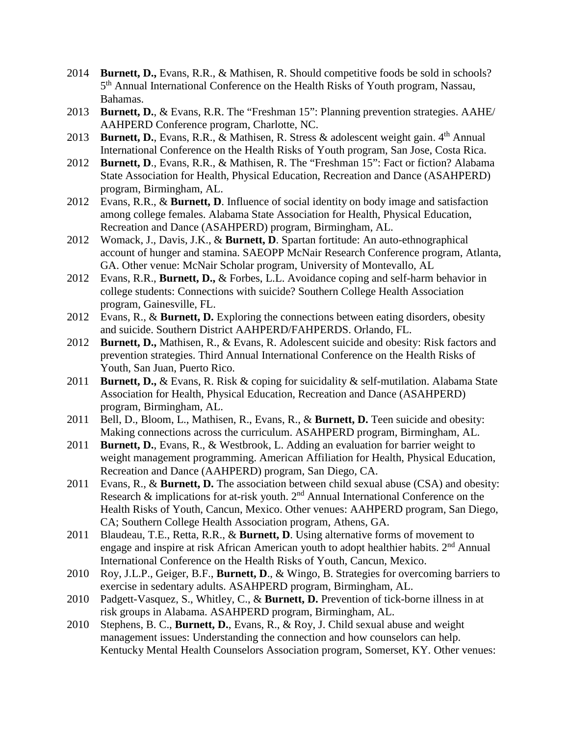- 2014 **Burnett, D.,** Evans, R.R., & Mathisen, R. Should competitive foods be sold in schools? 5<sup>th</sup> Annual International Conference on the Health Risks of Youth program, Nassau, Bahamas.
- 2013 **Burnett, D.**, & Evans, R.R. The "Freshman 15": Planning prevention strategies. AAHE/ AAHPERD Conference program, Charlotte, NC.
- 2013 **Burnett, D.**, Evans, R.R., & Mathisen, R. Stress & adolescent weight gain. 4<sup>th</sup> Annual International Conference on the Health Risks of Youth program, San Jose, Costa Rica.
- 2012 **Burnett, D**., Evans, R.R., & Mathisen, R. The "Freshman 15": Fact or fiction? Alabama State Association for Health, Physical Education, Recreation and Dance (ASAHPERD) program, Birmingham, AL.
- 2012 Evans, R.R., & **Burnett, D**. Influence of social identity on body image and satisfaction among college females. Alabama State Association for Health, Physical Education, Recreation and Dance (ASAHPERD) program, Birmingham, AL.
- 2012 Womack, J., Davis, J.K., & **Burnett, D**. Spartan fortitude: An auto-ethnographical account of hunger and stamina. SAEOPP McNair Research Conference program, Atlanta, GA. Other venue: McNair Scholar program, University of Montevallo, AL
- 2012 Evans, R.R., **Burnett, D.,** & Forbes, L.L. Avoidance coping and self-harm behavior in college students: Connections with suicide? Southern College Health Association program, Gainesville, FL.
- 2012 Evans, R., & **Burnett, D.** Exploring the connections between eating disorders, obesity and suicide. Southern District AAHPERD/FAHPERDS. Orlando, FL.
- 2012 **Burnett, D.,** Mathisen, R., & Evans, R. Adolescent suicide and obesity: Risk factors and prevention strategies. Third Annual International Conference on the Health Risks of Youth, San Juan, Puerto Rico.
- 2011 **Burnett, D.,** & Evans, R. Risk & coping for suicidality & self-mutilation. Alabama State Association for Health, Physical Education, Recreation and Dance (ASAHPERD) program, Birmingham, AL.
- 2011 Bell, D., Bloom, L., Mathisen, R., Evans, R., & **Burnett, D.** Teen suicide and obesity: Making connections across the curriculum. ASAHPERD program, Birmingham, AL.
- 2011 **Burnett, D.**, Evans, R., & Westbrook, L. Adding an evaluation for barrier weight to weight management programming. American Affiliation for Health, Physical Education, Recreation and Dance (AAHPERD) program, San Diego, CA.
- 2011 Evans, R., & **Burnett, D.** The association between child sexual abuse (CSA) and obesity: Research  $\&$  implications for at-risk youth.  $2<sup>nd</sup>$  Annual International Conference on the Health Risks of Youth, Cancun, Mexico. Other venues: AAHPERD program, San Diego, CA; Southern College Health Association program, Athens, GA.
- 2011 Blaudeau, T.E., Retta, R.R., & **Burnett, D**. Using alternative forms of movement to engage and inspire at risk African American youth to adopt healthier habits. 2<sup>nd</sup> Annual International Conference on the Health Risks of Youth, Cancun, Mexico.
- 2010 Roy, J.L.P., Geiger, B.F., **Burnett, D**., & Wingo, B. Strategies for overcoming barriers to exercise in sedentary adults. ASAHPERD program, Birmingham, AL.
- 2010 Padgett-Vasquez, S., Whitley, C., & **Burnett, D.** Prevention of tick-borne illness in at risk groups in Alabama. ASAHPERD program, Birmingham, AL.
- 2010 Stephens, B. C., **Burnett, D.**, Evans, R., & Roy, J. Child sexual abuse and weight management issues: Understanding the connection and how counselors can help. Kentucky Mental Health Counselors Association program, Somerset, KY. Other venues: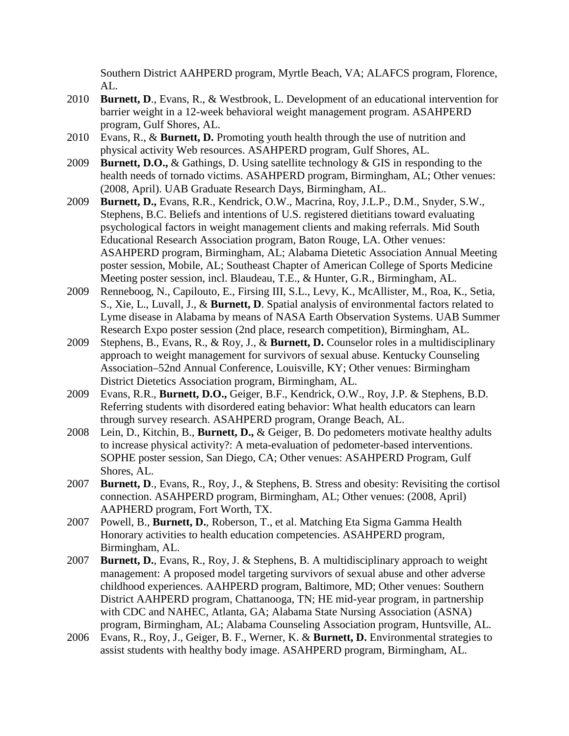Southern District AAHPERD program, Myrtle Beach, VA; ALAFCS program, Florence, AL.

- 2010 **Burnett, D**., Evans, R., & Westbrook, L. Development of an educational intervention for barrier weight in a 12-week behavioral weight management program. ASAHPERD program, Gulf Shores, AL.
- 2010 Evans, R., & **Burnett, D.** Promoting youth health through the use of nutrition and physical activity Web resources. ASAHPERD program, Gulf Shores, AL.
- 2009 **Burnett, D.O.,** & Gathings, D. Using satellite technology & GIS in responding to the health needs of tornado victims. ASAHPERD program, Birmingham, AL; Other venues: (2008, April). UAB Graduate Research Days, Birmingham, AL.
- 2009 **Burnett, D.,** Evans, R.R., Kendrick, O.W., Macrina, Roy, J.L.P., D.M., Snyder, S.W., Stephens, B.C. Beliefs and intentions of U.S. registered dietitians toward evaluating psychological factors in weight management clients and making referrals. Mid South Educational Research Association program, Baton Rouge, LA. Other venues: ASAHPERD program, Birmingham, AL; Alabama Dietetic Association Annual Meeting poster session, Mobile, AL; Southeast Chapter of American College of Sports Medicine Meeting poster session, incl. Blaudeau, T.E., & Hunter, G.R., Birmingham, AL.
- 2009 Renneboog, N., Capilouto, E., Firsing III, S.L., Levy, K., McAllister, M., Roa, K., Setia, S., Xie, L., Luvall, J., & **Burnett, D**. Spatial analysis of environmental factors related to Lyme disease in Alabama by means of NASA Earth Observation Systems. UAB Summer Research Expo poster session (2nd place, research competition), Birmingham, AL.
- 2009 Stephens, B., Evans, R., & Roy, J., & **Burnett, D.** Counselor roles in a multidisciplinary approach to weight management for survivors of sexual abuse. Kentucky Counseling Association–52nd Annual Conference, Louisville, KY; Other venues: Birmingham District Dietetics Association program, Birmingham, AL.
- 2009 Evans, R.R., **Burnett, D.O.,** Geiger, B.F., Kendrick, O.W., Roy, J.P. & Stephens, B.D. Referring students with disordered eating behavior: What health educators can learn through survey research. ASAHPERD program, Orange Beach, AL.
- 2008 Lein, D., Kitchin, B., **Burnett, D.,** & Geiger, B. Do pedometers motivate healthy adults to increase physical activity?: A meta-evaluation of pedometer-based interventions. SOPHE poster session, San Diego, CA; Other venues: ASAHPERD Program, Gulf Shores, AL.
- 2007 **Burnett, D**., Evans, R., Roy, J., & Stephens, B. Stress and obesity: Revisiting the cortisol connection. ASAHPERD program, Birmingham, AL; Other venues: (2008, April) AAPHERD program, Fort Worth, TX.
- 2007 Powell, B., **Burnett, D.**, Roberson, T., et al. Matching Eta Sigma Gamma Health Honorary activities to health education competencies. ASAHPERD program, Birmingham, AL.
- 2007 **Burnett, D.**, Evans, R., Roy, J. & Stephens, B. A multidisciplinary approach to weight management: A proposed model targeting survivors of sexual abuse and other adverse childhood experiences. AAHPERD program, Baltimore, MD; Other venues: Southern District AAHPERD program, Chattanooga, TN; HE mid-year program, in partnership with CDC and NAHEC, Atlanta, GA; Alabama State Nursing Association (ASNA) program, Birmingham, AL; Alabama Counseling Association program, Huntsville, AL.
- 2006 Evans, R., Roy, J., Geiger, B. F., Werner, K. & **Burnett, D.** Environmental strategies to assist students with healthy body image. ASAHPERD program, Birmingham, AL.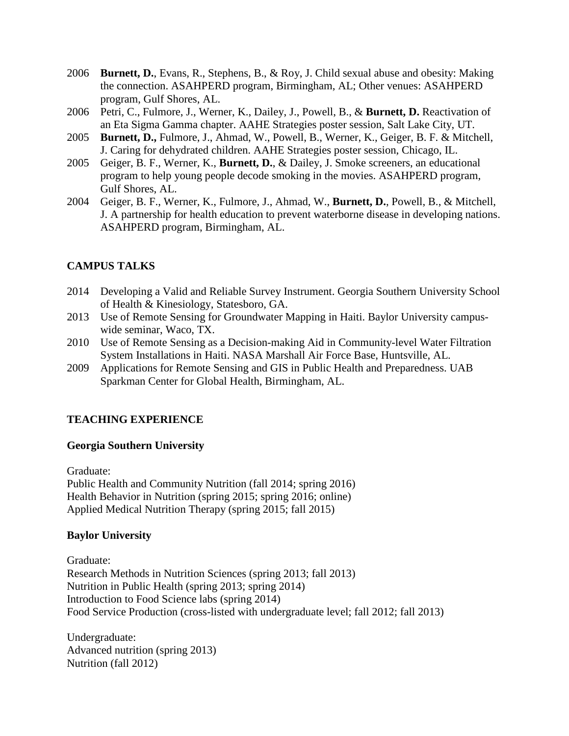- 2006 **Burnett, D.**, Evans, R., Stephens, B., & Roy, J. Child sexual abuse and obesity: Making the connection. ASAHPERD program, Birmingham, AL; Other venues: ASAHPERD program, Gulf Shores, AL.
- 2006 Petri, C., Fulmore, J., Werner, K., Dailey, J., Powell, B., & **Burnett, D.** Reactivation of an Eta Sigma Gamma chapter. AAHE Strategies poster session, Salt Lake City, UT.
- 2005 **Burnett, D.,** Fulmore, J., Ahmad, W., Powell, B., Werner, K., Geiger, B. F. & Mitchell, J. Caring for dehydrated children. AAHE Strategies poster session, Chicago, IL.
- 2005 Geiger, B. F., Werner, K., **Burnett, D.**, & Dailey, J. Smoke screeners, an educational program to help young people decode smoking in the movies. ASAHPERD program, Gulf Shores, AL.
- 2004 Geiger, B. F., Werner, K., Fulmore, J., Ahmad, W., **Burnett, D.**, Powell, B., & Mitchell, J. A partnership for health education to prevent waterborne disease in developing nations. ASAHPERD program, Birmingham, AL.

# **CAMPUS TALKS**

- 2014 Developing a Valid and Reliable Survey Instrument. Georgia Southern University School of Health & Kinesiology, Statesboro, GA.
- 2013 Use of Remote Sensing for Groundwater Mapping in Haiti. Baylor University campuswide seminar, Waco, TX.
- 2010 Use of Remote Sensing as a Decision-making Aid in Community-level Water Filtration System Installations in Haiti. NASA Marshall Air Force Base, Huntsville, AL.
- 2009 Applications for Remote Sensing and GIS in Public Health and Preparedness. UAB Sparkman Center for Global Health, Birmingham, AL.

## **TEACHING EXPERIENCE**

#### **Georgia Southern University**

Graduate: Public Health and Community Nutrition (fall 2014; spring 2016) Health Behavior in Nutrition (spring 2015; spring 2016; online) Applied Medical Nutrition Therapy (spring 2015; fall 2015)

## **Baylor University**

Graduate: Research Methods in Nutrition Sciences (spring 2013; fall 2013) Nutrition in Public Health (spring 2013; spring 2014) Introduction to Food Science labs (spring 2014) Food Service Production (cross-listed with undergraduate level; fall 2012; fall 2013)

Undergraduate: Advanced nutrition (spring 2013) Nutrition (fall 2012)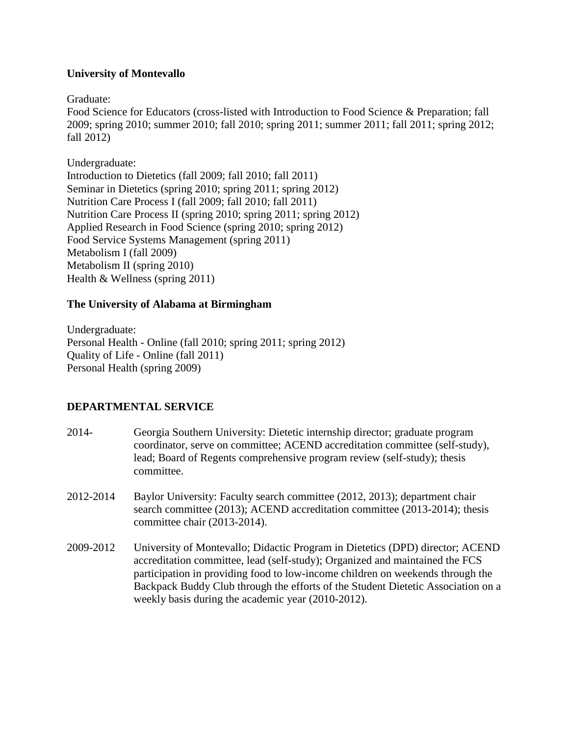### **University of Montevallo**

Graduate:

Food Science for Educators (cross-listed with Introduction to Food Science & Preparation; fall 2009; spring 2010; summer 2010; fall 2010; spring 2011; summer 2011; fall 2011; spring 2012; fall 2012)

Undergraduate: Introduction to Dietetics (fall 2009; fall 2010; fall 2011) Seminar in Dietetics (spring 2010; spring 2011; spring 2012) Nutrition Care Process I (fall 2009; fall 2010; fall 2011) Nutrition Care Process II (spring 2010; spring 2011; spring 2012) Applied Research in Food Science (spring 2010; spring 2012) Food Service Systems Management (spring 2011) Metabolism I (fall 2009) Metabolism II (spring 2010) Health & Wellness (spring 2011)

### **The University of Alabama at Birmingham**

Undergraduate: Personal Health - Online (fall 2010; spring 2011; spring 2012) Quality of Life - Online (fall 2011) Personal Health (spring 2009)

## **DEPARTMENTAL SERVICE**

- 2014- Georgia Southern University: Dietetic internship director; graduate program coordinator, serve on committee; ACEND accreditation committee (self-study), lead; Board of Regents comprehensive program review (self-study); thesis committee.
- 2012-2014 Baylor University: Faculty search committee (2012, 2013); department chair search committee (2013); ACEND accreditation committee (2013-2014); thesis committee chair (2013-2014).
- 2009-2012 University of Montevallo; Didactic Program in Dietetics (DPD) director; ACEND accreditation committee, lead (self-study); Organized and maintained the FCS participation in providing food to low-income children on weekends through the Backpack Buddy Club through the efforts of the Student Dietetic Association on a weekly basis during the academic year (2010-2012).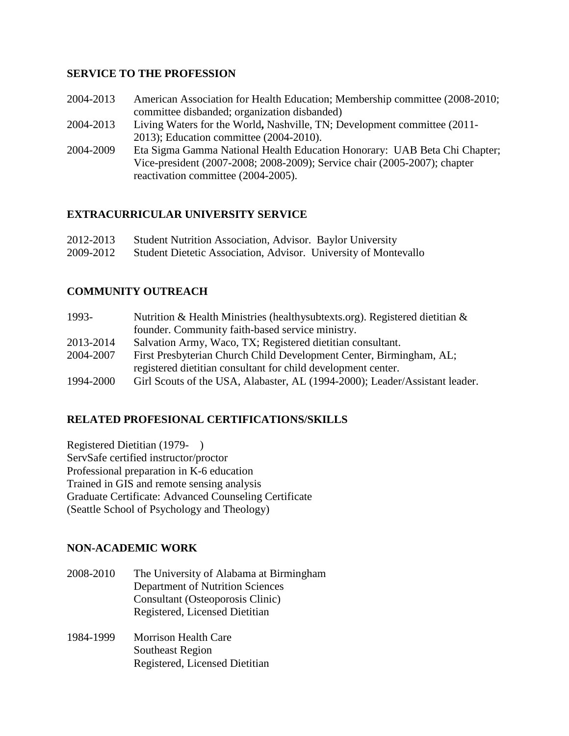### **SERVICE TO THE PROFESSION**

- 2004-2013 American Association for Health Education; Membership committee (2008-2010; committee disbanded; organization disbanded)
- 2004-2013 Living Waters for the World**,** Nashville, TN; Development committee (2011- 2013); Education committee (2004-2010).
- 2004-2009 Eta Sigma Gamma National Health Education Honorary: UAB Beta Chi Chapter; Vice-president (2007-2008; 2008-2009); Service chair (2005-2007); chapter reactivation committee (2004-2005).

## **EXTRACURRICULAR UNIVERSITY SERVICE**

| 2012-2013 | Student Nutrition Association, Advisor. Baylor University       |
|-----------|-----------------------------------------------------------------|
| 2009-2012 | Student Dietetic Association, Advisor. University of Montevallo |

# **COMMUNITY OUTREACH**

| 1993-     | Nutrition & Health Ministries (healthy subtexts.org). Registered dietitian & |
|-----------|------------------------------------------------------------------------------|
|           | founder. Community faith-based service ministry.                             |
| 2013-2014 | Salvation Army, Waco, TX; Registered dietitian consultant.                   |
| 2004-2007 | First Presbyterian Church Child Development Center, Birmingham, AL;          |
|           | registered dietitian consultant for child development center.                |
| 1994-2000 | Girl Scouts of the USA, Alabaster, AL (1994-2000); Leader/Assistant leader.  |

## **RELATED PROFESIONAL CERTIFICATIONS/SKILLS**

Registered Dietitian (1979- ) ServSafe certified instructor/proctor Professional preparation in K-6 education Trained in GIS and remote sensing analysis Graduate Certificate: Advanced Counseling Certificate (Seattle School of Psychology and Theology)

## **NON-ACADEMIC WORK**

- 2008-2010 The University of Alabama at Birmingham Department of Nutrition Sciences Consultant (Osteoporosis Clinic) Registered, Licensed Dietitian
- 1984-1999 Morrison Health Care Southeast Region Registered, Licensed Dietitian